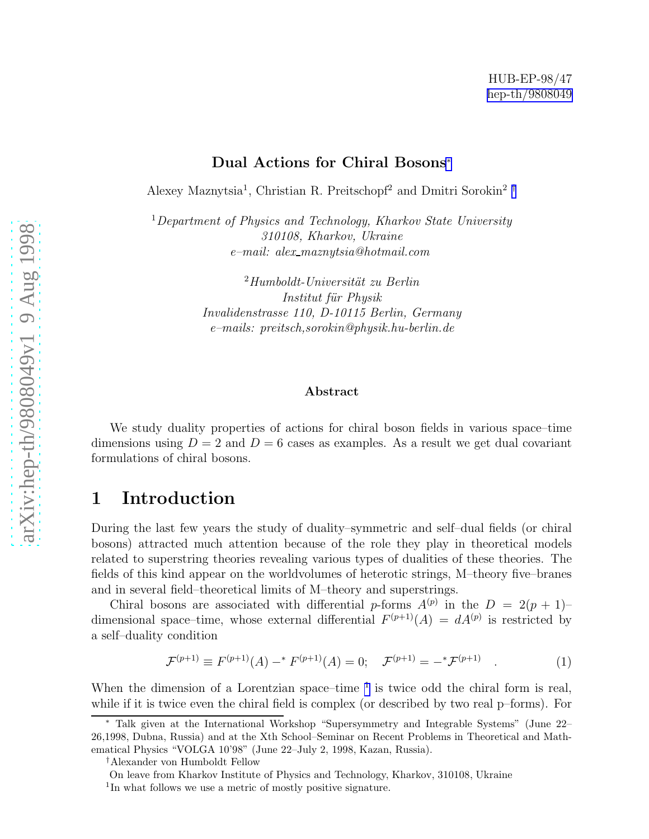#### Dual Actions for Chiral Bosons ∗

<span id="page-0-0"></span>Alexey Maznytsia<sup>1</sup>, Christian R. Preitschopf<sup>2</sup> and Dmitri Sorokin<sup>2</sup><sup>†</sup>

<sup>1</sup>*Department of Physics and Technology, Kharkov State University 310108, Kharkov, Ukraine e–mail: alex maznytsia@hotmail.com*

> <sup>2</sup>Humboldt-Universität zu Berlin *Institut f¨ur Physik Invalidenstrasse 110, D-10115 Berlin, Germany e–mails: preitsch,sorokin@physik.hu-berlin.de*

#### Abstract

We study duality properties of actions for chiral boson fields in various space–time dimensions using  $D = 2$  and  $D = 6$  cases as examples. As a result we get dual covariant formulations of chiral bosons.

### 1 Introduction

During the last few years the study of duality–symmetric and self–dual fields (or chiral bosons) attracted much attention because of the role they play in theoretical models related to superstring theories revealing various types of dualities of these theories. The fields of this kind appear on the worldvolumes of heterotic strings, M–theory five–branes and in several field–theoretical limits of M–theory and superstrings.

Chiral bosons are associated with differential p-forms  $A^{(p)}$  in the  $D = 2(p + 1)$ dimensional space–time, whose external differential  $F^{(p+1)}(A) = dA^{(p)}$  is restricted by a self–duality condition

$$
\mathcal{F}^{(p+1)} \equiv F^{(p+1)}(A) - ^* F^{(p+1)}(A) = 0; \quad \mathcal{F}^{(p+1)} = - ^* \mathcal{F}^{(p+1)} \quad . \tag{1}
$$

When the dimension of a Lorentzian space–time <sup>1</sup> is twice odd the chiral form is real, while if it is twice even the chiral field is complex (or described by two real p–forms). For

†Alexander von Humboldt Fellow

On leave from Kharkov Institute of Physics and Technology, Kharkov, 310108, Ukraine <sup>1</sup>In what follows we use a metric of mostly positive signature.

<sup>∗</sup> Talk given at the International Workshop "Supersymmetry and Integrable Systems" (June 22– 26,1998, Dubna, Russia) and at the Xth School–Seminar on Recent Problems in Theoretical and Mathematical Physics "VOLGA 10'98" (June 22–July 2, 1998, Kazan, Russia).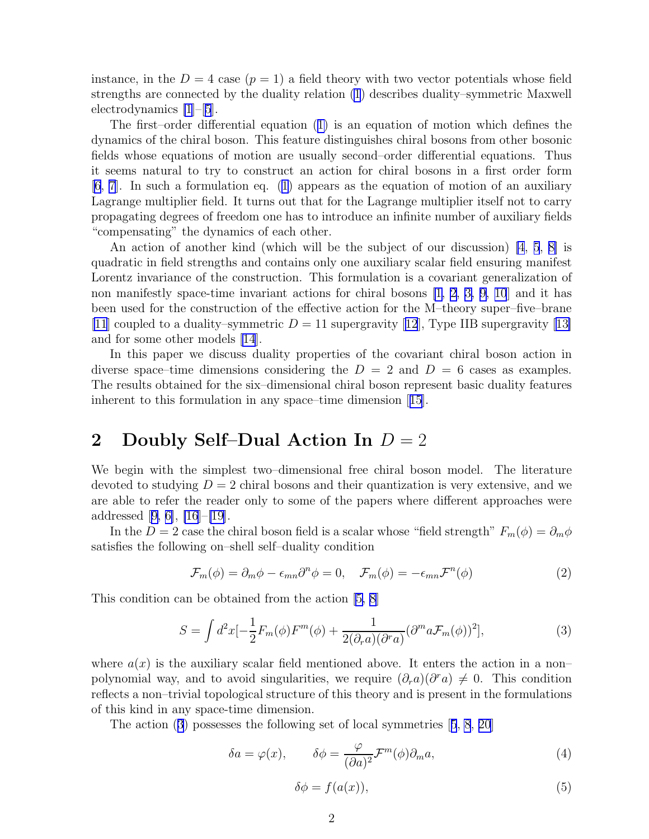<span id="page-1-0"></span>instance, in the  $D = 4$  case  $(p = 1)$  a field theory with two vector potentials whose field strengths are connected by the duality relation [\(1](#page-0-0)) describes duality–symmetric Maxwell electrodynamics [\[1](#page-8-0)]–[[5](#page-8-0)].

The first–order differential equation([1\)](#page-0-0) is an equation of motion which defines the dynamics of the chiral boson. This feature distinguishes chiral bosons from other bosonic fields whose equations of motion are usually second–order differential equations. Thus it seems natural to try to construct an action for chiral bosons in a first order form [\[6](#page-8-0), [7\]](#page-8-0). In such a formulation eq. [\(1\)](#page-0-0) appears as the equation of motion of an auxiliary Lagrange multiplier field. It turns out that for the Lagrange multiplier itself not to carry propagating degrees of freedom one has to introduce an infinite number of auxiliary fields "compensating" the dynamics of each other.

An action of another kind (which will be the subject of our discussion) [\[4](#page-8-0), [5](#page-8-0), [8\]](#page-8-0) is quadratic in field strengths and contains only one auxiliary scalar field ensuring manifest Lorentz invariance of the construction. This formulation is a covariant generalization of non manifestly space-time invariant actions for chiral bosons [\[1, 2,](#page-8-0) [3, 9, 10](#page-8-0)] and it has been used for the construction of the effective action for the M–theory super–five–brane [\[11](#page-8-0)]coupled to a duality–symmetric  $D = 11$  supergravity [[12](#page-8-0)], Type IIB supergravity [[13\]](#page-8-0) and for some other models [\[14](#page-8-0)].

In this paper we discuss duality properties of the covariant chiral boson action in diverse space–time dimensions considering the  $D = 2$  and  $D = 6$  cases as examples. The results obtained for the six–dimensional chiral boson represent basic duality features inherent to this formulation in any space–time dimension[[15](#page-8-0)].

## 2 Doubly Self–Dual Action In  $D = 2$

We begin with the simplest two–dimensional free chiral boson model. The literature devoted to studying  $D = 2$  chiral bosons and their quantization is very extensive, and we are able to refer the reader only to some of the papers where different approaches were addressed[[9, 6\]](#page-8-0), [\[16](#page-8-0)]–[\[19](#page-9-0)].

In the D = 2 case the chiral boson field is a scalar whose "field strength"  $F_m(\phi) = \partial_m \phi$ satisfies the following on–shell self–duality condition

$$
\mathcal{F}_m(\phi) = \partial_m \phi - \epsilon_{mn} \partial^n \phi = 0, \quad \mathcal{F}_m(\phi) = -\epsilon_{mn} \mathcal{F}^n(\phi)
$$
 (2)

This condition can be obtained from the action [\[5, 8\]](#page-8-0)

$$
S = \int d^2x \left[-\frac{1}{2}F_m(\phi)F^m(\phi) + \frac{1}{2(\partial_r a)(\partial^r a)}(\partial^m a \mathcal{F}_m(\phi))^2\right],\tag{3}
$$

where  $a(x)$  is the auxiliary scalar field mentioned above. It enters the action in a non– polynomial way, and to avoid singularities, we require  $(\partial_r a)(\partial^r a) \neq 0$ . This condition reflects a non–trivial topological structure of this theory and is present in the formulations of this kind in any space-time dimension.

The action (3) possesses the following set of local symmetries[[5](#page-8-0), [8](#page-8-0), [20](#page-9-0)]

$$
\delta a = \varphi(x), \qquad \delta \phi = \frac{\varphi}{(\partial a)^2} \mathcal{F}^m(\phi) \partial_m a,\tag{4}
$$

$$
\delta \phi = f(a(x)),\tag{5}
$$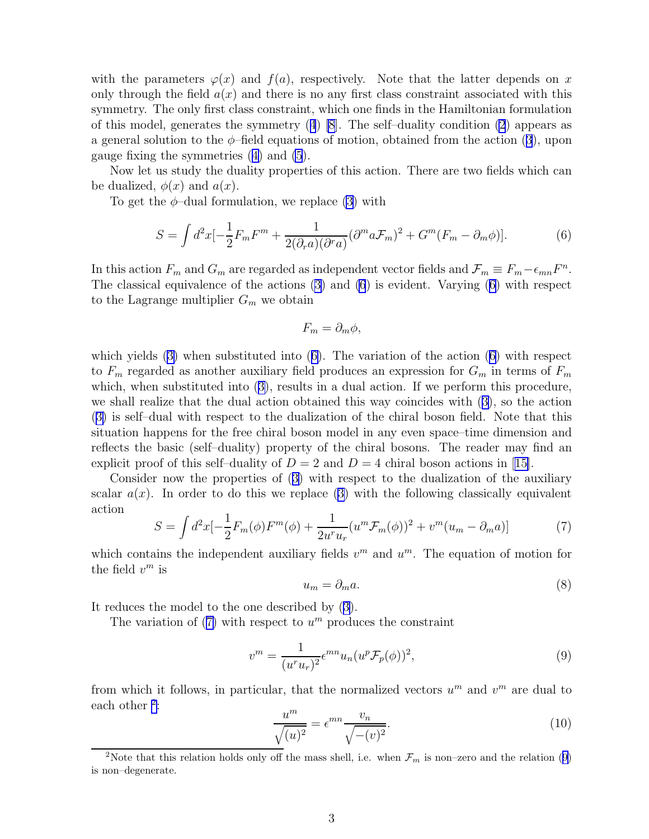<span id="page-2-0"></span>with the parameters  $\varphi(x)$  and  $f(a)$ , respectively. Note that the latter depends on x only through the field  $a(x)$  and there is no any first class constraint associated with this symmetry. The only first class constraint, which one finds in the Hamiltonian formulation ofthis model, generates the symmetry  $(4)$  $(4)$  $(4)$  [\[8](#page-8-0)]. The self-duality condition [\(2](#page-1-0)) appears as ageneral solution to the  $\phi$ -field equations of motion, obtained from the action ([3](#page-1-0)), upon gauge fixing the symmetries([4\)](#page-1-0) and [\(5](#page-1-0)).

Now let us study the duality properties of this action. There are two fields which can be dualized,  $\phi(x)$  and  $a(x)$ .

To get the  $\phi$ -dual formulation, we replace [\(3](#page-1-0)) with

$$
S = \int d^2x \left[-\frac{1}{2}F_m F^m + \frac{1}{2(\partial_r a)(\partial^r a)} (\partial^m a \mathcal{F}_m)^2 + G^m (F_m - \partial_m \phi)\right].\tag{6}
$$

In this action  $F_m$  and  $G_m$  are regarded as independent vector fields and  $\mathcal{F}_m \equiv F_m - \epsilon_{mn} F^n$ . The classical equivalence of the actions [\(3](#page-1-0)) and (6) is evident. Varying (6) with respect to the Lagrange multiplier  $G_m$  we obtain

$$
F_m = \partial_m \phi,
$$

whichyields  $(3)$  $(3)$  when substituted into  $(6)$ . The variation of the action  $(6)$  with respect to  $F_m$  regarded as another auxiliary field produces an expression for  $G_m$  in terms of  $F_m$ which,when substituted into  $(3)$  $(3)$ , results in a dual action. If we perform this procedure, we shall realize that the dual action obtained this way coincides with([3\)](#page-1-0), so the action ([3\)](#page-1-0) is self–dual with respect to the dualization of the chiral boson field. Note that this situation happens for the free chiral boson model in any even space–time dimension and reflects the basic (self–duality) property of the chiral bosons. The reader may find an explicitproof of this self-duality of  $D = 2$  and  $D = 4$  chiral boson actions in [[15\]](#page-8-0).

Consider now the properties of([3\)](#page-1-0) with respect to the dualization of the auxiliary scalar $a(x)$ . In order to do this we replace ([3\)](#page-1-0) with the following classically equivalent action

$$
S = \int d^2x \left[-\frac{1}{2}F_m(\phi)F^m(\phi) + \frac{1}{2u^r u_r}(u^m \mathcal{F}_m(\phi))^2 + v^m(u_m - \partial_m a)\right]
$$
(7)

which contains the independent auxiliary fields  $v^m$  and  $u^m$ . The equation of motion for the field  $v^m$  is

$$
u_m = \partial_m a. \tag{8}
$$

It reduces the model to the one described by([3\)](#page-1-0).

The variation of  $(7)$  with respect to  $u^m$  produces the constraint

$$
v^m = \frac{1}{(u^r u_r)^2} \epsilon^{mn} u_n (u^p \mathcal{F}_p(\phi))^2,
$$
\n<sup>(9)</sup>

from which it follows, in particular, that the normalized vectors  $u^m$  and  $v^m$  are dual to each other <sup>2</sup>:

$$
\frac{u^m}{\sqrt{(u)^2}} = \epsilon^{mn} \frac{v_n}{\sqrt{-(v)^2}}.
$$
\n(10)

<sup>&</sup>lt;sup>2</sup>Note that this relation holds only off the mass shell, i.e. when  $\mathcal{F}_m$  is non–zero and the relation (9) is non–degenerate.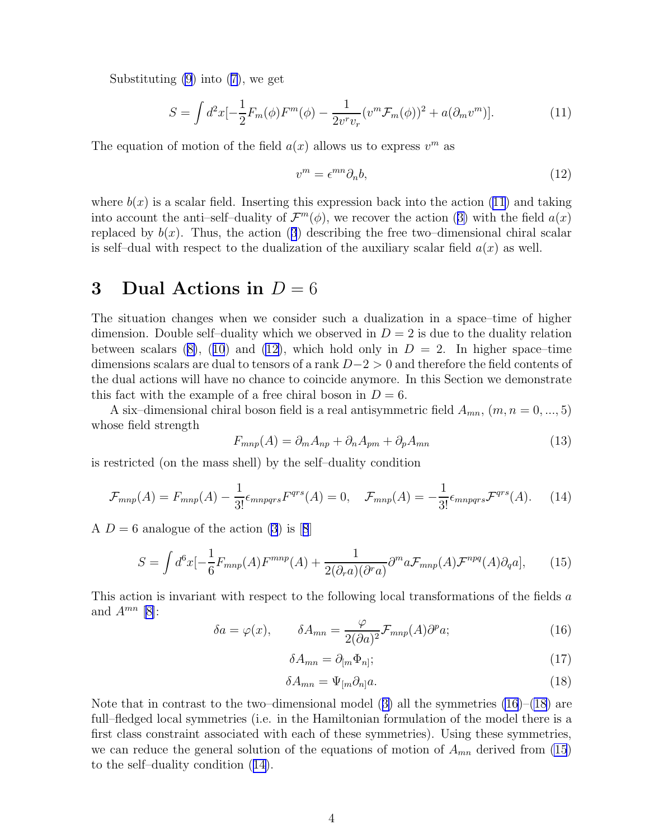<span id="page-3-0"></span>Substituting [\(9](#page-2-0)) into([7\)](#page-2-0), we get

$$
S = \int d^2x \left[-\frac{1}{2}F_m(\phi)F^m(\phi) - \frac{1}{2v^rv_r}(v^m \mathcal{F}_m(\phi))^2 + a(\partial_m v^m)\right].\tag{11}
$$

The equation of motion of the field  $a(x)$  allows us to express  $v^m$  as

$$
v^m = \epsilon^{mn} \partial_n b,\tag{12}
$$

where  $b(x)$  is a scalar field. Inserting this expression back into the action (11) and taking intoaccount the anti-self-duality of  $\mathcal{F}^m(\phi)$ , we recover the action ([3\)](#page-1-0) with the field  $a(x)$ replacedby  $b(x)$ . Thus, the action ([3](#page-1-0)) describing the free two–dimensional chiral scalar is self-dual with respect to the dualization of the auxiliary scalar field  $a(x)$  as well.

### 3 Dual Actions in  $D = 6$

The situation changes when we consider such a dualization in a space–time of higher dimension. Double self-duality which we observed in  $D = 2$  is due to the duality relation betweenscalars ([8\)](#page-2-0), ([10](#page-2-0)) and (12), which hold only in  $D = 2$ . In higher space–time dimensions scalars are dual to tensors of a rank D−2 > 0 and therefore the field contents of the dual actions will have no chance to coincide anymore. In this Section we demonstrate this fact with the example of a free chiral boson in  $D = 6$ .

A six-dimensional chiral boson field is a real antisymmetric field  $A_{mn}$ ,  $(m, n = 0, ..., 5)$ whose field strength

$$
F_{mnp}(A) = \partial_m A_{np} + \partial_n A_{pm} + \partial_p A_{mn}
$$
\n(13)

is restricted (on the mass shell) by the self–duality condition

$$
\mathcal{F}_{mnp}(A) = F_{mnp}(A) - \frac{1}{3!} \epsilon_{mnpqrs} F^{qrs}(A) = 0, \quad \mathcal{F}_{mnp}(A) = -\frac{1}{3!} \epsilon_{mnpqrs} \mathcal{F}^{qrs}(A). \tag{14}
$$

A $D = 6$  analogue of the action [\(3](#page-1-0)) is [[8](#page-8-0)]

$$
S = \int d^6x \left[-\frac{1}{6}F_{mnp}(A)F^{mnp}(A) + \frac{1}{2(\partial_r a)(\partial^r a)}\partial^m a \mathcal{F}_{mnp}(A)\mathcal{F}^{npq}(A)\partial_q a\right],\tag{15}
$$

This action is invariant with respect to the following local transformations of the fields  $a$ and  $A^{mn}$  [[8\]](#page-8-0):

$$
\delta a = \varphi(x), \qquad \delta A_{mn} = \frac{\varphi}{2(\partial a)^2} \mathcal{F}_{mnp}(A) \partial^p a; \qquad (16)
$$

$$
\delta A_{mn} = \partial_{[m} \Phi_{n]};\tag{17}
$$

$$
\delta A_{mn} = \Psi_{[m}\partial_{n]}a. \tag{18}
$$

Notethat in contrast to the two–dimensional model  $(3)$  $(3)$  all the symmetries  $(16)$ – $(18)$  are full–fledged local symmetries (i.e. in the Hamiltonian formulation of the model there is a first class constraint associated with each of these symmetries). Using these symmetries, we can reduce the general solution of the equations of motion of  $A_{mn}$  derived from (15) to the self–duality condition (14).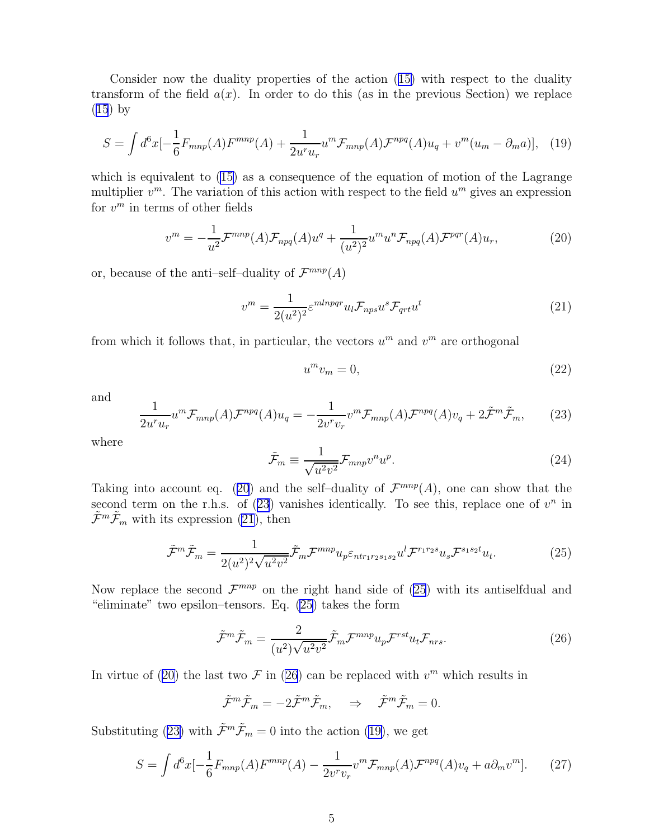<span id="page-4-0"></span>Consider now the duality properties of the action([15\)](#page-3-0) with respect to the duality transform of the field  $a(x)$ . In order to do this (as in the previous Section) we replace ([15](#page-3-0)) by

$$
S = \int d^6x \left[-\frac{1}{6}F_{mnp}(A)F^{mnp}(A) + \frac{1}{2u^ru_r}u^m \mathcal{F}_{mnp}(A)\mathcal{F}^{npq}(A)u_q + v^m(u_m - \partial_m a)\right], \tag{19}
$$

which is equivalent to  $(15)$  as a consequence of the equation of motion of the Lagrange multiplier  $v^m$ . The variation of this action with respect to the field  $u^m$  gives an expression for  $v^m$  in terms of other fields

$$
vm = -\frac{1}{u2} \mathcal{F}^{mnp}(A) \mathcal{F}_{npq}(A) uq + \frac{1}{(u2)2} um un \mathcal{F}_{npq}(A) \mathcal{F}^{pqr}(A) ur,
$$
 (20)

or, because of the anti–self–duality of  $\mathcal{F}^{mnp}(A)$ 

$$
v^{m} = \frac{1}{2(u^{2})^{2}} \varepsilon^{mlnpqr} u_{l} \mathcal{F}_{nps} u^{s} \mathcal{F}_{qrt} u^{t}
$$
\n
$$
\tag{21}
$$

from which it follows that, in particular, the vectors  $u^m$  and  $v^m$  are orthogonal

$$
u^m v_m = 0,\t\t(22)
$$

and

$$
\frac{1}{2u^r u_r} u^m \mathcal{F}_{mnp}(A) \mathcal{F}^{npq}(A) u_q = -\frac{1}{2v^r v_r} v^m \mathcal{F}_{mnp}(A) \mathcal{F}^{npq}(A) v_q + 2\tilde{\mathcal{F}}^m \tilde{\mathcal{F}}_m,\tag{23}
$$

where

$$
\tilde{\mathcal{F}}_m \equiv \frac{1}{\sqrt{u^2 v^2}} \mathcal{F}_{mnp} v^n u^p. \tag{24}
$$

Taking into account eq. (20) and the self-duality of  $\mathcal{F}^{mnp}(A)$ , one can show that the second term on the r.h.s. of  $(23)$  vanishes identically. To see this, replace one of  $v<sup>n</sup>$  in  $\tilde{\mathcal{F}}^m \tilde{\mathcal{F}}_m$  with its expression (21), then

$$
\tilde{\mathcal{F}}^m \tilde{\mathcal{F}}_m = \frac{1}{2(u^2)^2 \sqrt{u^2 v^2}} \tilde{\mathcal{F}}_m \mathcal{F}^{mnp} u_p \varepsilon_{n \tr_1 r_2 s_1 s_2} u^l \mathcal{F}^{r_1 r_2 s} u_s \mathcal{F}^{s_1 s_2 t} u_t.
$$
\n(25)

Now replace the second  $\mathcal{F}^{mnp}$  on the right hand side of (25) with its antiselfdual and "eliminate" two epsilon–tensors. Eq. (25) takes the form

$$
\tilde{\mathcal{F}}^m \tilde{\mathcal{F}}_m = \frac{2}{(u^2)\sqrt{u^2 v^2}} \tilde{\mathcal{F}}_m \mathcal{F}^{mnp} u_p \mathcal{F}^{rst} u_t \mathcal{F}_{nrs}.
$$
\n(26)

In virtue of (20) the last two  $\mathcal F$  in (26) can be replaced with  $v^m$  which results in

$$
\tilde{\mathcal{F}}^m \tilde{\mathcal{F}}_m = -2 \tilde{\mathcal{F}}^m \tilde{\mathcal{F}}_m, \quad \Rightarrow \quad \tilde{\mathcal{F}}^m \tilde{\mathcal{F}}_m = 0.
$$

Substituting (23) with  $\tilde{\mathcal{F}}^m \tilde{\mathcal{F}}_m = 0$  into the action (19), we get

$$
S = \int d^6x \left[-\frac{1}{6}F_{mnp}(A)F^{mnp}(A) - \frac{1}{2v^rv_r}v^m \mathcal{F}_{mnp}(A)\mathcal{F}^{npq}(A)v_q + a\partial_m v^m\right].\tag{27}
$$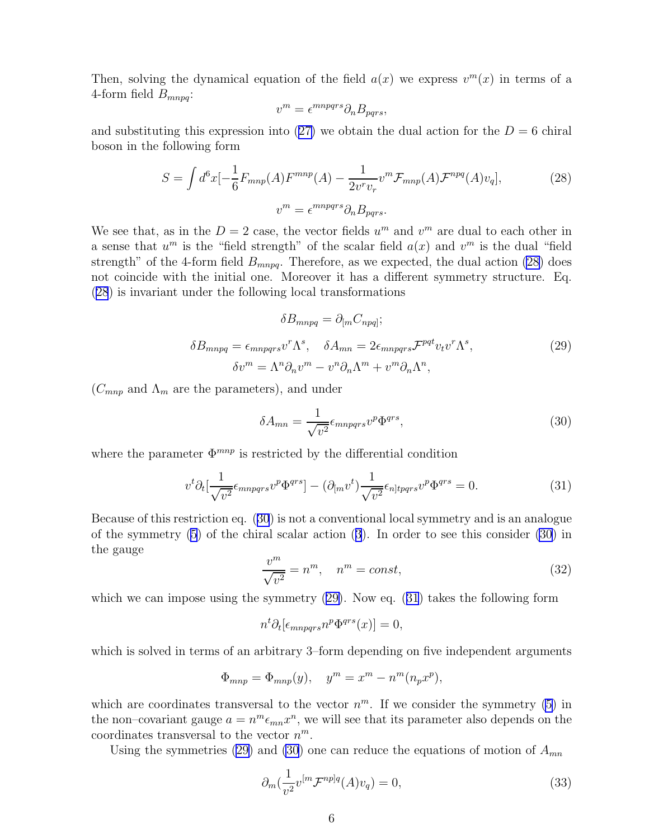<span id="page-5-0"></span>Then, solving the dynamical equation of the field  $a(x)$  we express  $v^m(x)$  in terms of a 4-form field  $B_{mnpq}$ :

$$
v^m = \epsilon^{mnpqrs} \partial_n B_{pqrs},
$$

andsubstituting this expression into  $(27)$  $(27)$  we obtain the dual action for the  $D = 6$  chiral boson in the following form

$$
S = \int d^6x \left[-\frac{1}{6}F_{mnp}(A)F^{mnp}(A) - \frac{1}{2v^rv_r}v^m \mathcal{F}_{mnp}(A)\mathcal{F}^{npq}(A)v_q\right],\tag{28}
$$

$$
v^m = \epsilon^{mnpqrs}\partial_n B_{pqrs}.
$$

We see that, as in the  $D=2$  case, the vector fields  $u^m$  and  $v^m$  are dual to each other in a sense that  $u^m$  is the "field strength" of the scalar field  $a(x)$  and  $v^m$  is the dual "field strength" of the 4-form field  $B_{mnpq}$ . Therefore, as we expected, the dual action (28) does not coincide with the initial one. Moreover it has a different symmetry structure. Eq. (28) is invariant under the following local transformations

$$
\delta B_{mnpq} = \partial_{[m} C_{npq]};
$$
  
\n
$$
\delta B_{mnpq} = \epsilon_{mnpqrs} v^r \Lambda^s, \quad \delta A_{mn} = 2\epsilon_{mnpqrs} \mathcal{F}^{pqt} v_t v^r \Lambda^s,
$$
  
\n
$$
\delta v^m = \Lambda^n \partial_n v^m - v^n \partial_n \Lambda^m + v^m \partial_n \Lambda^n,
$$
\n(29)

 $(C_{mnp}$  and  $\Lambda_m$  are the parameters), and under

$$
\delta A_{mn} = \frac{1}{\sqrt{v^2}} \epsilon_{mnpqrs} v^p \Phi^{qrs},\tag{30}
$$

where the parameter  $\Phi^{mnp}$  is restricted by the differential condition

$$
v^t \partial_t \left[ \frac{1}{\sqrt{v^2}} \epsilon_{mnpqrs} v^p \Phi^{qrs} \right] - (\partial_{[m} v^t) \frac{1}{\sqrt{v^2}} \epsilon_{n]tpqrs} v^p \Phi^{qrs} = 0. \tag{31}
$$

Because of this restriction eq. (30) is not a conventional local symmetry and is an analogue of the symmetry [\(5](#page-1-0)) of the chiral scalar action([3](#page-1-0)). In order to see this consider (30) in the gauge

$$
\frac{v^m}{\sqrt{v^2}} = n^m, \quad n^m = const,
$$
\n(32)

which we can impose using the symmetry  $(29)$ . Now eq.  $(31)$  takes the following form

$$
n^t \partial_t [\epsilon_{mnpqrs} n^p \Phi^{qrs}(x)] = 0,
$$

which is solved in terms of an arbitrary 3–form depending on five independent arguments

$$
\Phi_{mnp} = \Phi_{mnp}(y), \quad y^m = x^m - n^m (n_p x^p),
$$

which are coordinates transversal to the vector  $n^m$ . If we consider the symmetry [\(5](#page-1-0)) in the non–covariant gauge  $a = n^m \epsilon_{mn} x^n$ , we will see that its parameter also depends on the coordinates transversal to the vector  $n^m$ .

Using the symmetries (29) and (30) one can reduce the equations of motion of  $A_{mn}$ 

$$
\partial_m(\frac{1}{v^2}v^{[m}\mathcal{F}^{np]q}(A)v_q) = 0,\tag{33}
$$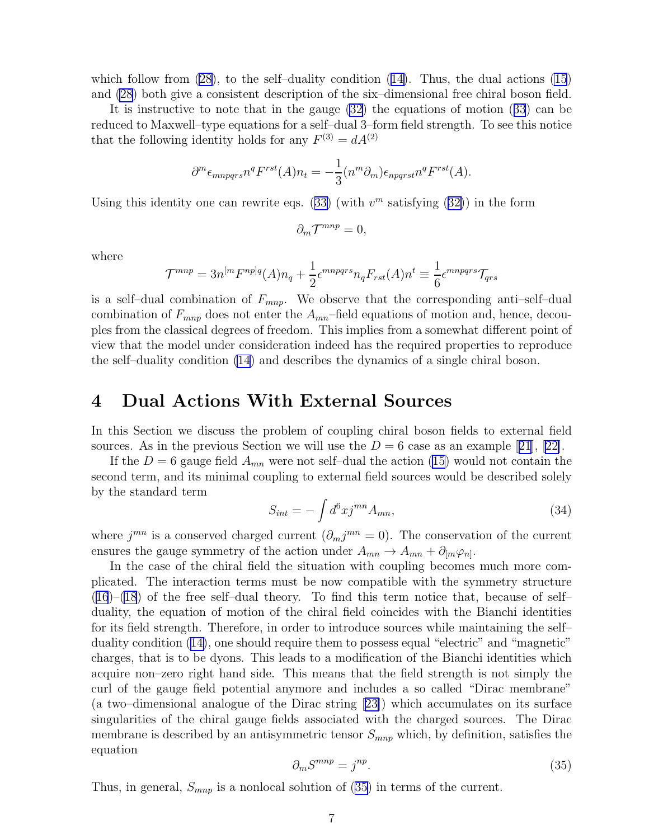<span id="page-6-0"></span>whichfollow from  $(28)$ , to the self-duality condition  $(14)$  $(14)$ . Thus, the dual actions  $(15)$ and [\(28](#page-5-0)) both give a consistent description of the six–dimensional free chiral boson field.

It is instructive to note that in the gauge [\(32](#page-5-0)) the equations of motion([33](#page-5-0)) can be reduced to Maxwell–type equations for a self–dual 3–form field strength. To see this notice that the following identity holds for any  $F^{(3)} = dA^{(2)}$ 

$$
\partial^m \epsilon_{mnpqrs} n^q F^{rst}(A) n_t = -\frac{1}{3} (n^m \partial_m) \epsilon_{npqrs} n^q F^{rst}(A).
$$

Usingthis identity one can rewrite eqs. ([33\)](#page-5-0) (with  $v^m$  satisfying ([32\)](#page-5-0)) in the form

$$
\partial_m \mathcal{T}^{mnp} = 0,
$$

where

$$
\mathcal{T}^{mnp} = 3n^{[m}F^{np]q}(A)n_q + \frac{1}{2}\epsilon^{mnpqrs}n_qF_{rst}(A)n^t \equiv \frac{1}{6}\epsilon^{mnpqrs}\mathcal{T}_{qrs}
$$

is a self-dual combination of  $F_{mnp}$ . We observe that the corresponding anti-self-dual combination of  $F_{mnp}$  does not enter the  $A_{mn}$ -field equations of motion and, hence, decouples from the classical degrees of freedom. This implies from a somewhat different point of view that the model under consideration indeed has the required properties to reproduce the self–duality condition [\(14](#page-3-0)) and describes the dynamics of a single chiral boson.

#### 4 Dual Actions With External Sources

In this Section we discuss the problem of coupling chiral boson fields to external field sources.As in the previous Section we will use the  $D = 6$  case as an example [[21](#page-9-0)], [[22\]](#page-9-0).

If the  $D = 6$  gauge field  $A_{mn}$  were not self-dual the action [\(15\)](#page-3-0) would not contain the second term, and its minimal coupling to external field sources would be described solely by the standard term

$$
S_{int} = -\int d^6x j^{mn} A_{mn},\qquad(34)
$$

where  $j^{mn}$  is a conserved charged current  $(\partial_m j^{mn} = 0)$ . The conservation of the current ensures the gauge symmetry of the action under  $A_{mn} \to A_{mn} + \partial_{[m} \varphi_{n]}$ .

In the case of the chiral field the situation with coupling becomes much more complicated. The interaction terms must be now compatible with the symmetry structure ([16](#page-3-0))–[\(18](#page-3-0)) of the free self–dual theory. To find this term notice that, because of self– duality, the equation of motion of the chiral field coincides with the Bianchi identities for its field strength. Therefore, in order to introduce sources while maintaining the self– duality condition([14\)](#page-3-0), one should require them to possess equal "electric" and "magnetic" charges, that is to be dyons. This leads to a modification of the Bianchi identities which acquire non–zero right hand side. This means that the field strength is not simply the curl of the gauge field potential anymore and includes a so called "Dirac membrane" (a two–dimensional analogue of the Dirac string[[23\]](#page-9-0)) which accumulates on its surface singularities of the chiral gauge fields associated with the charged sources. The Dirac membrane is described by an antisymmetric tensor  $S_{mnp}$  which, by definition, satisfies the equation

$$
\partial_m S^{mnp} = j^{np}.\tag{35}
$$

Thus, in general,  $S_{mnp}$  is a nonlocal solution of (35) in terms of the current.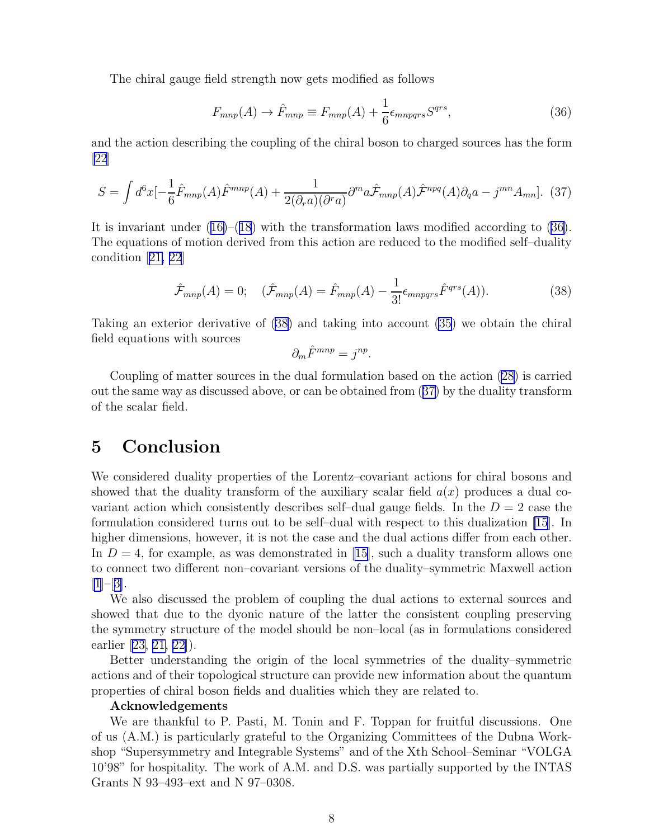The chiral gauge field strength now gets modified as follows

$$
F_{mnp}(A) \to \hat{F}_{mnp} \equiv F_{mnp}(A) + \frac{1}{6} \epsilon_{mnpqrs} S^{qrs},\tag{36}
$$

and the action describing the coupling of the chiral boson to charged sources has the form [\[22](#page-9-0)]

$$
S = \int d^6x \left[-\frac{1}{6}\hat{F}_{mnp}(A)\hat{F}^{mnp}(A) + \frac{1}{2(\partial_r a)(\partial^r a)}\partial^m a\hat{F}_{mnp}(A)\hat{F}^{npq}(A)\partial_q a - j^{mn}A_{mn}\right].
$$
 (37)

Itis invariant under  $(16)$  $(16)$ – $(18)$  $(18)$  $(18)$  with the transformation laws modified according to  $(36)$ . The equations of motion derived from this action are reduced to the modified self–duality condition[[21, 22](#page-9-0)]

$$
\hat{\mathcal{F}}_{mnp}(A) = 0; \quad (\hat{\mathcal{F}}_{mnp}(A) = \hat{F}_{mnp}(A) - \frac{1}{3!} \epsilon_{mnpqrs} \hat{F}^{qrs}(A)). \tag{38}
$$

Taking an exterior derivative of (38) and taking into account [\(35](#page-6-0)) we obtain the chiral field equations with sources

$$
\partial_m \hat{F}^{mnp} = j^{np}.
$$

Coupling of matter sources in the dual formulation based on the action [\(28](#page-5-0)) is carried out the same way as discussed above, or can be obtained from (37) by the duality transform of the scalar field.

# 5 Conclusion

We considered duality properties of the Lorentz–covariant actions for chiral bosons and showed that the duality transform of the auxiliary scalar field  $a(x)$  produces a dual covariant action which consistently describes self-dual gauge fields. In the  $D = 2$  case the formulation considered turns out to be self–dual with respect to this dualization [\[15](#page-8-0)]. In higher dimensions, however, it is not the case and the dual actions differ from each other. In  $D = 4$ , for example, as was demonstrated in [\[15\]](#page-8-0), such a duality transform allows one to connect two different non–covariant versions of the duality–symmetric Maxwell action  $|1|-3|$ .

We also discussed the problem of coupling the dual actions to external sources and showed that due to the dyonic nature of the latter the consistent coupling preserving the symmetry structure of the model should be non–local (as in formulations considered earlier [\[23, 21, 22\]](#page-9-0)).

Better understanding the origin of the local symmetries of the duality–symmetric actions and of their topological structure can provide new information about the quantum properties of chiral boson fields and dualities which they are related to.

#### Acknowledgements

We are thankful to P. Pasti, M. Tonin and F. Toppan for fruitful discussions. One of us (A.M.) is particularly grateful to the Organizing Committees of the Dubna Workshop "Supersymmetry and Integrable Systems" and of the Xth School–Seminar "VOLGA 10'98" for hospitality. The work of A.M. and D.S. was partially supported by the INTAS Grants N 93–493–ext and N 97–0308.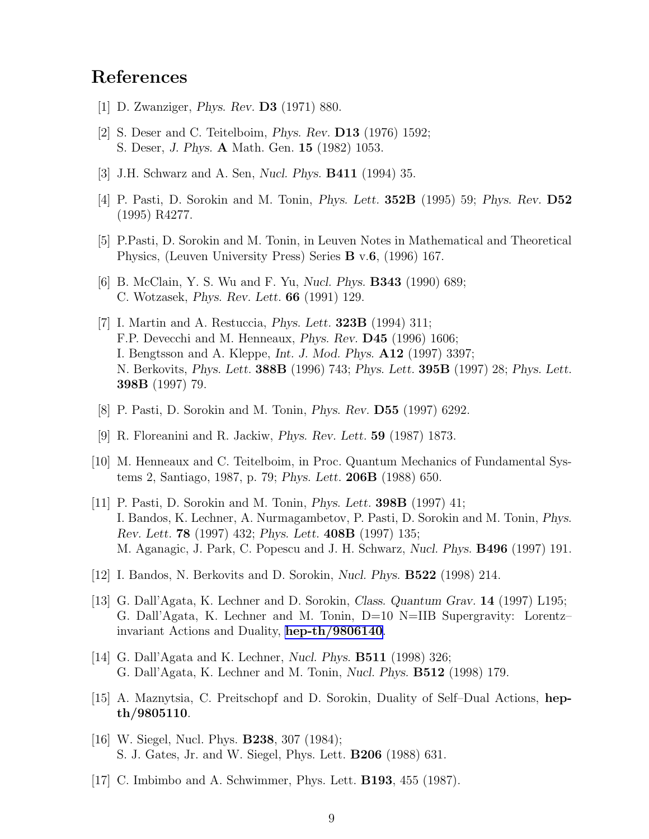# <span id="page-8-0"></span>References

- [1] D. Zwanziger, Phys. Rev. D3 (1971) 880.
- [2] S. Deser and C. Teitelboim, Phys. Rev. D13 (1976) 1592; S. Deser, J. Phys. A Math. Gen. 15 (1982) 1053.
- [3] J.H. Schwarz and A. Sen, Nucl. Phys. B411 (1994) 35.
- [4] P. Pasti, D. Sorokin and M. Tonin, Phys. Lett. 352B (1995) 59; Phys. Rev. D52 (1995) R4277.
- [5] P.Pasti, D. Sorokin and M. Tonin, in Leuven Notes in Mathematical and Theoretical Physics, (Leuven University Press) Series B v.6, (1996) 167.
- [6] B. McClain, Y. S. Wu and F. Yu, Nucl. Phys. B343 (1990) 689; C. Wotzasek, Phys. Rev. Lett. 66 (1991) 129.
- [7] I. Martin and A. Restuccia, Phys. Lett. 323B (1994) 311; F.P. Devecchi and M. Henneaux, Phys. Rev. D45 (1996) 1606; I. Bengtsson and A. Kleppe, Int. J. Mod. Phys. A12 (1997) 3397; N. Berkovits, *Phys. Lett.* **388B** (1996) 743; *Phys. Lett.* **395B** (1997) 28; *Phys. Lett.* 398B (1997) 79.
- [8] P. Pasti, D. Sorokin and M. Tonin, Phys. Rev. D55 (1997) 6292.
- [9] R. Floreanini and R. Jackiw, Phys. Rev. Lett. 59 (1987) 1873.
- [10] M. Henneaux and C. Teitelboim, in Proc. Quantum Mechanics of Fundamental Systems 2, Santiago, 1987, p. 79; Phys. Lett. 206B (1988) 650.
- [11] P. Pasti, D. Sorokin and M. Tonin, Phys. Lett. 398B (1997) 41; I. Bandos, K. Lechner, A. Nurmagambetov, P. Pasti, D. Sorokin and M. Tonin, Phys. Rev. Lett. 78 (1997) 432; Phys. Lett. 408B (1997) 135; M. Aganagic, J. Park, C. Popescu and J. H. Schwarz, Nucl. Phys. B496 (1997) 191.
- [12] I. Bandos, N. Berkovits and D. Sorokin, Nucl. Phys. B522 (1998) 214.
- [13] G. Dall'Agata, K. Lechner and D. Sorokin, Class. Quantum Grav. 14 (1997) L195; G. Dall'Agata, K. Lechner and M. Tonin, D=10 N=IIB Supergravity: Lorentz– invariant Actions and Duality, [hep-th/9806140](http://arxiv.org/abs/hep-th/9806140).
- [14] G. Dall'Agata and K. Lechner, Nucl. Phys. B511 (1998) 326; G. Dall'Agata, K. Lechner and M. Tonin, Nucl. Phys. B512 (1998) 179.
- [15] A. Maznytsia, C. Preitschopf and D. Sorokin, Duality of Self–Dual Actions, hepth/9805110.
- [16] W. Siegel, Nucl. Phys. **B238**, 307 (1984); S. J. Gates, Jr. and W. Siegel, Phys. Lett. B206 (1988) 631.
- [17] C. Imbimbo and A. Schwimmer, Phys. Lett. B193, 455 (1987).